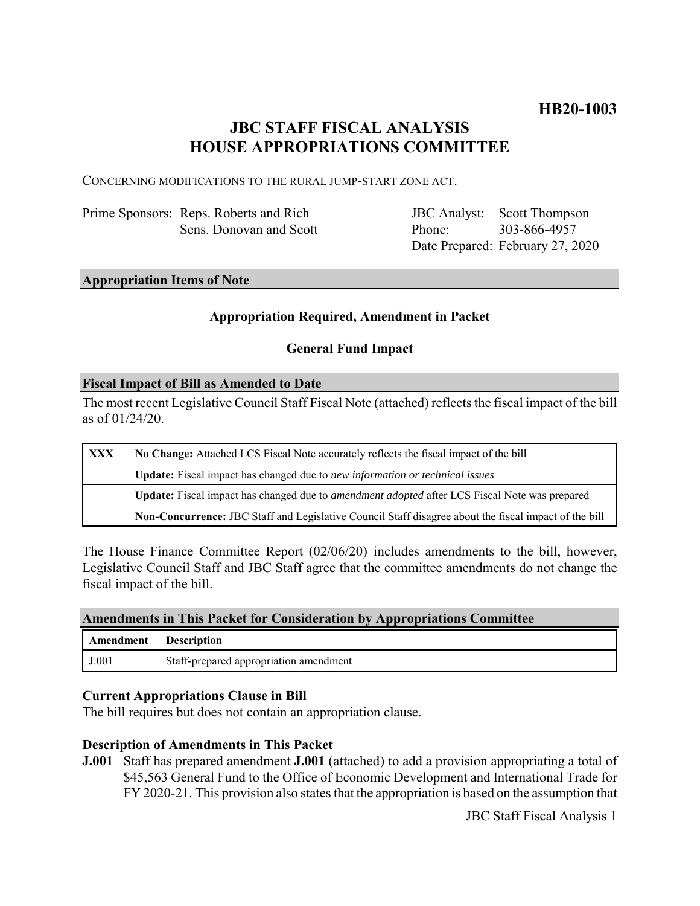# **JBC STAFF FISCAL ANALYSIS HOUSE APPROPRIATIONS COMMITTEE**

CONCERNING MODIFICATIONS TO THE RURAL JUMP-START ZONE ACT.

Prime Sponsors: Reps. Roberts and Rich Sens. Donovan and Scott JBC Analyst: Phone: Date Prepared: February 27, 2020 Scott Thompson 303-866-4957

## **Appropriation Items of Note**

## **Appropriation Required, Amendment in Packet**

## **General Fund Impact**

#### **Fiscal Impact of Bill as Amended to Date**

The most recent Legislative Council Staff Fiscal Note (attached) reflects the fiscal impact of the bill as of 01/24/20.

| XXX | No Change: Attached LCS Fiscal Note accurately reflects the fiscal impact of the bill                       |
|-----|-------------------------------------------------------------------------------------------------------------|
|     | <b>Update:</b> Fiscal impact has changed due to new information or technical issues                         |
|     | <b>Update:</b> Fiscal impact has changed due to <i>amendment adopted</i> after LCS Fiscal Note was prepared |
|     | Non-Concurrence: JBC Staff and Legislative Council Staff disagree about the fiscal impact of the bill       |

The House Finance Committee Report (02/06/20) includes amendments to the bill, however, Legislative Council Staff and JBC Staff agree that the committee amendments do not change the fiscal impact of the bill.

### **Amendments in This Packet for Consideration by Appropriations Committee**

| Amendment | Description                            |
|-----------|----------------------------------------|
| J.001     | Staff-prepared appropriation amendment |

#### **Current Appropriations Clause in Bill**

The bill requires but does not contain an appropriation clause.

#### **Description of Amendments in This Packet**

**J.001** Staff has prepared amendment **J.001** (attached) to add a provision appropriating a total of \$45,563 General Fund to the Office of Economic Development and International Trade for FY 2020-21. This provision also states that the appropriation is based on the assumption that